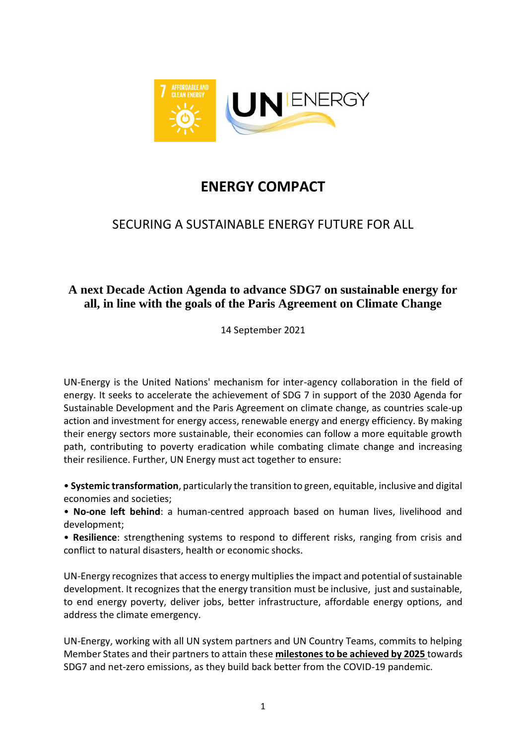

## **ENERGY COMPACT**

## SECURING A SUSTAINABLE ENERGY FUTURE FOR ALL

## **A next Decade Action Agenda to advance SDG7 on sustainable energy for all, in line with the goals of the Paris Agreement on Climate Change**

14 September 2021

UN-Energy is the United Nations' mechanism for inter-agency collaboration in the field of energy. It seeks to accelerate the achievement of SDG 7 in support of the 2030 Agenda for Sustainable Development and the Paris Agreement on climate change, as countries scale-up action and investment for energy access, renewable energy and energy efficiency. By making their energy sectors more sustainable, their economies can follow a more equitable growth path, contributing to poverty eradication while combating climate change and increasing their resilience. Further, UN Energy must act together to ensure:

• **Systemic transformation**, particularly the transition to green, equitable, inclusive and digital economies and societies;

• **No-one left behind**: a human-centred approach based on human lives, livelihood and development;

• **Resilience**: strengthening systems to respond to different risks, ranging from crisis and conflict to natural disasters, health or economic shocks.

UN-Energy recognizes that access to energy multiplies the impact and potential of sustainable development. It recognizes that the energy transition must be inclusive, just and sustainable, to end energy poverty, deliver jobs, better infrastructure, affordable energy options, and address the climate emergency.

UN-Energy, working with all UN system partners and UN Country Teams, commits to helping Member States and their partners to attain these **milestones to be achieved by 2025** towards SDG7 and net-zero emissions, as they build back better from the COVID-19 pandemic.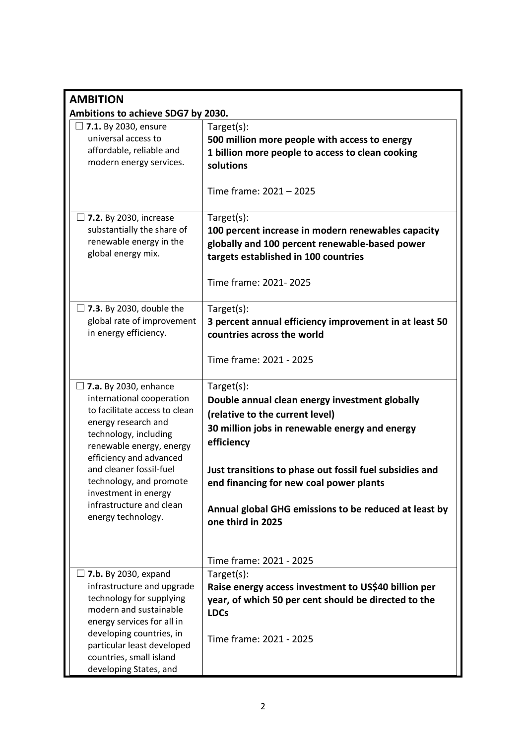| <b>AMBITION</b>                                                                                                                                                                                                                                                                                                                      |                                                                                                                                                                                                                                                                                                                                                     |
|--------------------------------------------------------------------------------------------------------------------------------------------------------------------------------------------------------------------------------------------------------------------------------------------------------------------------------------|-----------------------------------------------------------------------------------------------------------------------------------------------------------------------------------------------------------------------------------------------------------------------------------------------------------------------------------------------------|
| Ambitions to achieve SDG7 by 2030.                                                                                                                                                                                                                                                                                                   |                                                                                                                                                                                                                                                                                                                                                     |
| $\Box$ 7.1. By 2030, ensure<br>universal access to<br>affordable, reliable and<br>modern energy services.                                                                                                                                                                                                                            | Target(s):<br>500 million more people with access to energy<br>1 billion more people to access to clean cooking<br>solutions<br>Time frame: 2021 - 2025                                                                                                                                                                                             |
| 7.2. By 2030, increase<br>substantially the share of<br>renewable energy in the<br>global energy mix.                                                                                                                                                                                                                                | Target(s):<br>100 percent increase in modern renewables capacity<br>globally and 100 percent renewable-based power<br>targets established in 100 countries<br>Time frame: 2021-2025                                                                                                                                                                 |
| <b>7.3.</b> By 2030, double the<br>global rate of improvement<br>in energy efficiency.                                                                                                                                                                                                                                               | Target(s):<br>3 percent annual efficiency improvement in at least 50<br>countries across the world<br>Time frame: 2021 - 2025                                                                                                                                                                                                                       |
| $\square$ 7.a. By 2030, enhance<br>international cooperation<br>to facilitate access to clean<br>energy research and<br>technology, including<br>renewable energy, energy<br>efficiency and advanced<br>and cleaner fossil-fuel<br>technology, and promote<br>investment in energy<br>infrastructure and clean<br>energy technology. | Target(s):<br>Double annual clean energy investment globally<br>(relative to the current level)<br>30 million jobs in renewable energy and energy<br>efficiency<br>Just transitions to phase out fossil fuel subsidies and<br>end financing for new coal power plants<br>Annual global GHG emissions to be reduced at least by<br>one third in 2025 |
| $\Box$ 7.b. By 2030, expand<br>infrastructure and upgrade<br>technology for supplying<br>modern and sustainable<br>energy services for all in<br>developing countries, in<br>particular least developed<br>countries, small island<br>developing States, and                                                                         | Time frame: 2021 - 2025<br>Target(s):<br>Raise energy access investment to US\$40 billion per<br>year, of which 50 per cent should be directed to the<br><b>LDCs</b><br>Time frame: 2021 - 2025                                                                                                                                                     |